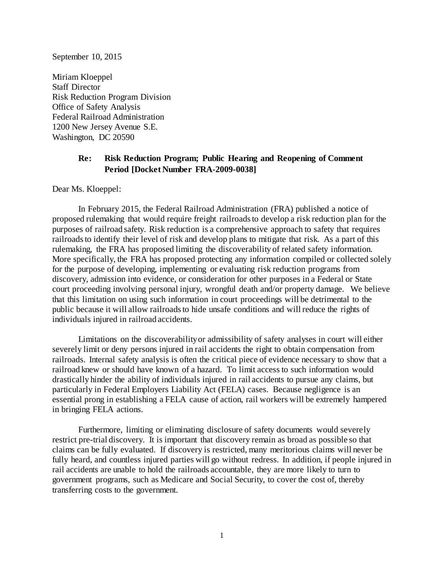September 10, 2015

Miriam Kloeppel Staff Director Risk Reduction Program Division Office of Safety Analysis Federal Railroad Administration 1200 New Jersey Avenue S.E. Washington, DC 20590

## **Re: Risk Reduction Program; Public Hearing and Reopening of Comment Period [Docket Number FRA-2009-0038]**

Dear Ms. Kloeppel:

In February 2015, the Federal Railroad Administration (FRA) published a notice of proposed rulemaking that would require freight railroads to develop a risk reduction plan for the purposes of railroad safety. Risk reduction is a comprehensive approach to safety that requires railroads to identify their level of risk and develop plans to mitigate that risk. As a part of this rulemaking, the FRA has proposed limiting the discoverability of related safety information. More specifically, the FRA has proposed protecting any information compiled or collected solely for the purpose of developing, implementing or evaluating risk reduction programs from discovery, admission into evidence, or consideration for other purposes in a Federal or State court proceeding involving personal injury, wrongful death and/or property damage. We believe that this limitation on using such information in court proceedings will be detrimental to the public because it will allow railroads to hide unsafe conditions and will reduce the rights of individuals injured in railroad accidents.

Limitations on the discoverability or admissibility of safety analyses in court will either severely limit or deny persons injured in rail accidents the right to obtain compensation from railroads. Internal safety analysis is often the critical piece of evidence necessary to show that a railroad knew or should have known of a hazard. To limit access to such information would drastically hinder the ability of individuals injured in rail accidents to pursue any claims, but particularly in Federal Employers Liability Act (FELA) cases. Because negligence is an essential prong in establishing a FELA cause of action, rail workers will be extremely hampered in bringing FELA actions.

Furthermore, limiting or eliminating disclosure of safety documents would severely restrict pre-trial discovery. It is important that discovery remain as broad as possible so that claims can be fully evaluated. If discovery is restricted, many meritorious claims will never be fully heard, and countless injured parties will go without redress. In addition, if people injured in rail accidents are unable to hold the railroads accountable, they are more likely to turn to government programs, such as Medicare and Social Security, to cover the cost of, thereby transferring costs to the government.